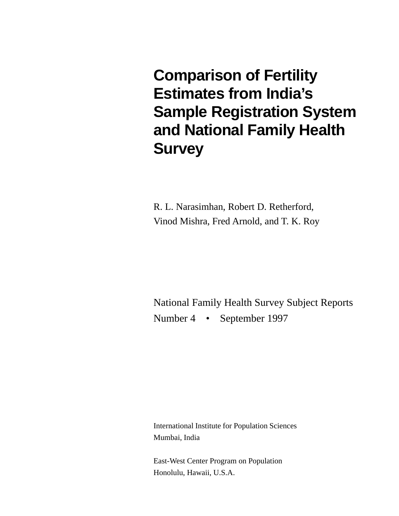**Comparison of Fertility Estimates from India's Sample Registration System and National Family Health Survey**

R. L. Narasimhan, Robert D. Retherford, Vinod Mishra, Fred Arnold, and T. K. Roy

National Family Health Survey Subject Reports Number 4 • September 1997

International Institute for Population Sciences Mumbai, India

East-West Center Program on Population Honolulu, Hawaii, U.S.A.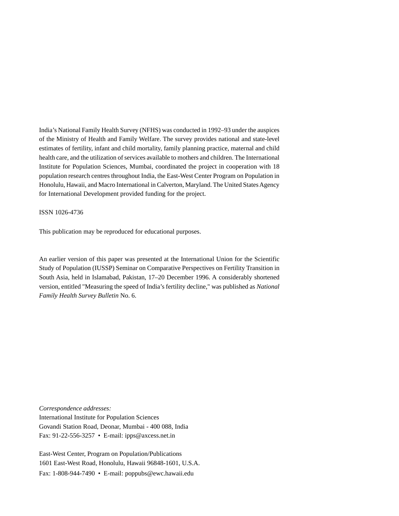India's National Family Health Survey (NFHS) was conducted in 1992–93 under the auspices of the Ministry of Health and Family Welfare. The survey provides national and state-level estimates of fertility, infant and child mortality, family planning practice, maternal and child health care, and the utilization of services available to mothers and children. The International Institute for Population Sciences, Mumbai, coordinated the project in cooperation with 18 population research centres throughout India, the East-West Center Program on Population in Honolulu, Hawaii, and Macro International in Calverton, Maryland. The United States Agency for International Development provided funding for the project.

ISSN 1026-4736

This publication may be reproduced for educational purposes.

An earlier version of this paper was presented at the International Union for the Scientific Study of Population (IUSSP) Seminar on Comparative Perspectives on Fertility Transition in South Asia, held in Islamabad, Pakistan, 17–20 December 1996. A considerably shortened version, entitled "Measuring the speed of India's fertility decline," was published as *National Family Health Survey Bulletin* No. 6.

*Correspondence addresses:* International Institute for Population Sciences Govandi Station Road, Deonar, Mumbai - 400 088, India Fax: 91-22-556-3257 • E-mail: ipps@axcess.net.in

East-West Center, Program on Population/Publications 1601 East-West Road, Honolulu, Hawaii 96848-1601, U.S.A. Fax: 1-808-944-7490 • E-mail: poppubs@ewc.hawaii.edu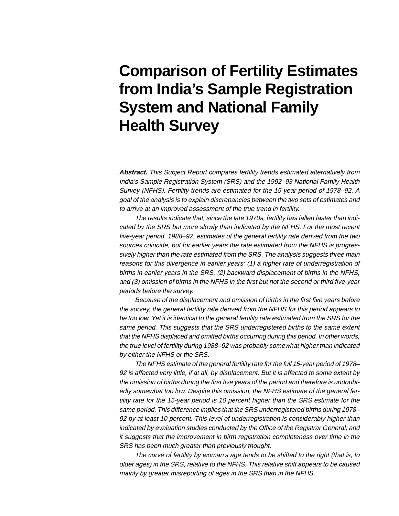# **Comparison of Fertility Estimates from India's Sample Registration System and National Family Health Survey**

**Abstract.** This Subject Report compares fertility trends estimated alternatively from India's Sample Registration System (SRS) and the 1992–93 National Family Health Survey (NFHS). Fertility trends are estimated for the 15-year period of 1978–92. A goal of the analysis is to explain discrepancies between the two sets of estimates and to arrive at an improved assessment of the true trend in fertility.

The results indicate that, since the late 1970s, fertility has fallen faster than indicated by the SRS but more slowly than indicated by the NFHS. For the most recent five-year period, 1988–92, estimates of the general fertility rate derived from the two sources coincide, but for earlier years the rate estimated from the NFHS is progressively higher than the rate estimated from the SRS. The analysis suggests three main reasons for this divergence in earlier years: (1) a higher rate of underregistration of births in earlier years in the SRS, (2) backward displacement of births in the NFHS, and (3) omission of births in the NFHS in the first but not the second or third five-year periods before the survey.

Because of the displacement and omission of births in the first five years before the survey, the general fertility rate derived from the NFHS for this period appears to be too low. Yet it is identical to the general fertility rate estimated from the SRS for the same period. This suggests that the SRS underregistered births to the same extent that the NFHS displaced and omitted births occurring during this period. In other words, the true level of fertility during 1988–92 was probably somewhat higher than indicated by either the NFHS or the SRS.

The NFHS estimate of the general fertility rate for the full 15-year period of 1978– 92 is affected very little, if at all, by displacement. But it is affected to some extent by the omission of births during the first five years of the period and therefore is undoubtedly somewhat too low. Despite this omission, the NFHS estimate of the general fertility rate for the 15-year period is 10 percent higher than the SRS estimate for the same period. This difference implies that the SRS underregistered births during 1978– 92 by at least 10 percent. This level of underregistration is considerably higher than indicated by evaluation studies conducted by the Office of the Registrar General, and it suggests that the improvement in birth registration completeness over time in the SRS has been much greater than previously thought.

The curve of fertility by woman's age tends to be shifted to the right (that is, to older ages) in the SRS, relative to the NFHS. This relative shift appears to be caused mainly by greater misreporting of ages in the SRS than in the NFHS.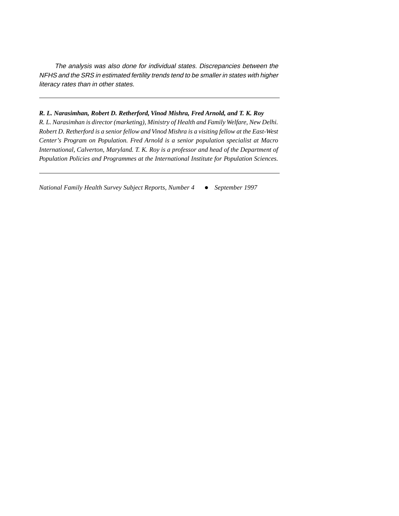The analysis was also done for individual states. Discrepancies between the NFHS and the SRS in estimated fertility trends tend to be smaller in states with higher literacy rates than in other states.

### *R. L. Narasimhan, Robert D. Retherford, Vinod Mishra, Fred Arnold, and T. K. Roy*

*R. L. Narasimhan is director (marketing), Ministry of Health and Family Welfare, New Delhi. Robert D. Retherford is a senior fellow and Vinod Mishra is a visiting fellow at the East-West Center's Program on Population. Fred Arnold is a senior population specialist at Macro International, Calverton, Maryland. T. K. Roy is a professor and head of the Department of Population Policies and Programmes at the International Institute for Population Sciences.*

*National Family Health Survey Subject Reports, Number 4* - *September 1997*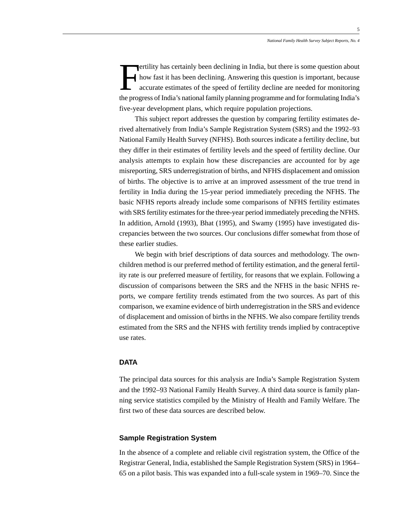ertility has certainly been declining in India, but there is some question about how fast it has been declining. Answering this question is important, because accurate estimates of the speed of fertility decline are needed for monitoring the progress of India's national family planning programme and for formulating India's five-year development plans, which require population projections.

This subject report addresses the question by comparing fertility estimates derived alternatively from India's Sample Registration System (SRS) and the 1992–93 National Family Health Survey (NFHS). Both sources indicate a fertility decline, but they differ in their estimates of fertility levels and the speed of fertility decline. Our analysis attempts to explain how these discrepancies are accounted for by age misreporting, SRS underregistration of births, and NFHS displacement and omission of births. The objective is to arrive at an improved assessment of the true trend in fertility in India during the 15-year period immediately preceding the NFHS. The basic NFHS reports already include some comparisons of NFHS fertility estimates with SRS fertility estimates for the three-year period immediately preceding the NFHS. In addition, Arnold (1993), Bhat (1995), and Swamy (1995) have investigated discrepancies between the two sources. Our conclusions differ somewhat from those of these earlier studies.

We begin with brief descriptions of data sources and methodology. The ownchildren method is our preferred method of fertility estimation, and the general fertility rate is our preferred measure of fertility, for reasons that we explain. Following a discussion of comparisons between the SRS and the NFHS in the basic NFHS reports, we compare fertility trends estimated from the two sources. As part of this comparison, we examine evidence of birth underregistration in the SRS and evidence of displacement and omission of births in the NFHS. We also compare fertility trends estimated from the SRS and the NFHS with fertility trends implied by contraceptive use rates.

### **DATA**

The principal data sources for this analysis are India's Sample Registration System and the 1992–93 National Family Health Survey. A third data source is family planning service statistics compiled by the Ministry of Health and Family Welfare. The first two of these data sources are described below.

### **Sample Registration System**

In the absence of a complete and reliable civil registration system, the Office of the Registrar General, India, established the Sample Registration System (SRS) in 1964– 65 on a pilot basis. This was expanded into a full-scale system in 1969–70. Since the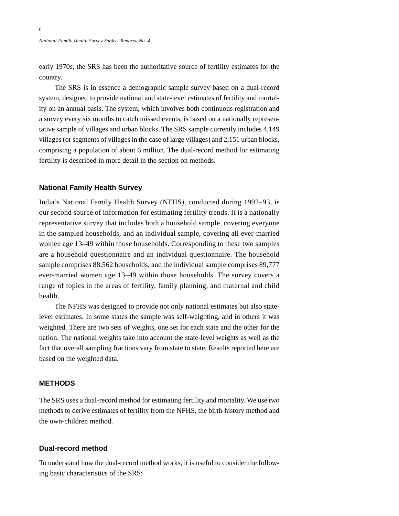early 1970s, the SRS has been the authoritative source of fertility estimates for the country.

The SRS is in essence a demographic sample survey based on a dual-record system, designed to provide national and state-level estimates of fertility and mortality on an annual basis. The system, which involves both continuous registration and a survey every six months to catch missed events, is based on a nationally representative sample of villages and urban blocks. The SRS sample currently includes 4,149 villages (or segments of villages in the case of large villages) and 2,151 urban blocks, comprising a population of about 6 million. The dual-record method for estimating fertility is described in more detail in the section on methods.

### **National Family Health Survey**

India's National Family Health Survey (NFHS), conducted during 1992–93, is our second source of information for estimating fertility trends. It is a nationally representative survey that includes both a household sample, covering everyone in the sampled households, and an individual sample, covering all ever-married women age 13–49 within those households. Corresponding to these two samples are a household questionnaire and an individual questionnaire. The household sample comprises 88,562 households, and the individual sample comprises 89,777 ever-married women age 13–49 within those households. The survey covers a range of topics in the areas of fertility, family planning, and maternal and child health.

The NFHS was designed to provide not only national estimates but also statelevel estimates. In some states the sample was self-weighting, and in others it was weighted. There are two sets of weights, one set for each state and the other for the nation. The national weights take into account the state-level weights as well as the fact that overall sampling fractions vary from state to state. Results reported here are based on the weighted data.

### **METHODS**

The SRS uses a dual-record method for estimating fertility and mortality. We use two methods to derive estimates of fertility from the NFHS, the birth-history method and the own-children method.

### **Dual-record method**

To understand how the dual-record method works, it is useful to consider the following basic characteristics of the SRS: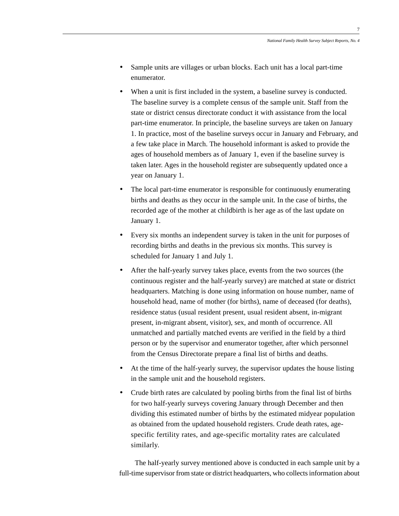- Sample units are villages or urban blocks. Each unit has a local part-time enumerator.
- When a unit is first included in the system, a baseline survey is conducted. The baseline survey is a complete census of the sample unit. Staff from the state or district census directorate conduct it with assistance from the local part-time enumerator. In principle, the baseline surveys are taken on January 1. In practice, most of the baseline surveys occur in January and February, and a few take place in March. The household informant is asked to provide the ages of household members as of January 1, even if the baseline survey is taken later. Ages in the household register are subsequently updated once a year on January 1.
- The local part-time enumerator is responsible for continuously enumerating births and deaths as they occur in the sample unit. In the case of births, the recorded age of the mother at childbirth is her age as of the last update on January 1.
- Every six months an independent survey is taken in the unit for purposes of recording births and deaths in the previous six months. This survey is scheduled for January 1 and July 1.
- After the half-yearly survey takes place, events from the two sources (the continuous register and the half-yearly survey) are matched at state or district headquarters. Matching is done using information on house number, name of household head, name of mother (for births), name of deceased (for deaths), residence status (usual resident present, usual resident absent, in-migrant present, in-migrant absent, visitor), sex, and month of occurrence. All unmatched and partially matched events are verified in the field by a third person or by the supervisor and enumerator together, after which personnel from the Census Directorate prepare a final list of births and deaths.
- At the time of the half-yearly survey, the supervisor updates the house listing in the sample unit and the household registers.
- Crude birth rates are calculated by pooling births from the final list of births for two half-yearly surveys covering January through December and then dividing this estimated number of births by the estimated midyear population as obtained from the updated household registers. Crude death rates, agespecific fertility rates, and age-specific mortality rates are calculated similarly.

The half-yearly survey mentioned above is conducted in each sample unit by a full-time supervisor from state or district headquarters, who collects information about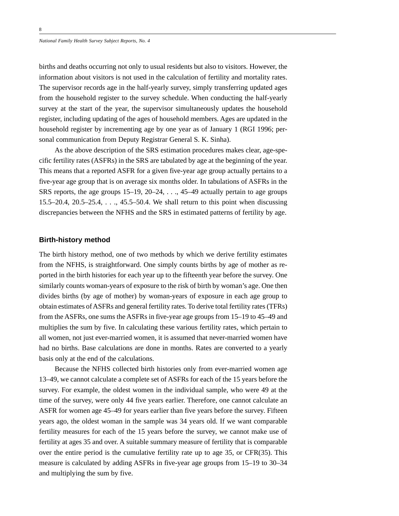births and deaths occurring not only to usual residents but also to visitors. However, the information about visitors is not used in the calculation of fertility and mortality rates. The supervisor records age in the half-yearly survey, simply transferring updated ages from the household register to the survey schedule. When conducting the half-yearly survey at the start of the year, the supervisor simultaneously updates the household register, including updating of the ages of household members. Ages are updated in the household register by incrementing age by one year as of January 1 (RGI 1996; personal communication from Deputy Registrar General S. K. Sinha).

As the above description of the SRS estimation procedures makes clear, age-specific fertility rates (ASFRs) in the SRS are tabulated by age at the beginning of the year. This means that a reported ASFR for a given five-year age group actually pertains to a five-year age group that is on average six months older. In tabulations of ASFRs in the SRS reports, the age groups  $15-19$ ,  $20-24$ , . . .,  $45-49$  actually pertain to age groups 15.5–20.4, 20.5–25.4, . . ., 45.5–50.4. We shall return to this point when discussing discrepancies between the NFHS and the SRS in estimated patterns of fertility by age.

### **Birth-history method**

The birth history method, one of two methods by which we derive fertility estimates from the NFHS, is straightforward. One simply counts births by age of mother as reported in the birth histories for each year up to the fifteenth year before the survey. One similarly counts woman-years of exposure to the risk of birth by woman's age. One then divides births (by age of mother) by woman-years of exposure in each age group to obtain estimates of ASFRs and general fertility rates. To derive total fertility rates (TFRs) from the ASFRs, one sums the ASFRs in five-year age groups from 15–19 to 45–49 and multiplies the sum by five. In calculating these various fertility rates, which pertain to all women, not just ever-married women, it is assumed that never-married women have had no births. Base calculations are done in months. Rates are converted to a yearly basis only at the end of the calculations.

Because the NFHS collected birth histories only from ever-married women age 13–49, we cannot calculate a complete set of ASFRs for each of the 15 years before the survey. For example, the oldest women in the individual sample, who were 49 at the time of the survey, were only 44 five years earlier. Therefore, one cannot calculate an ASFR for women age 45–49 for years earlier than five years before the survey. Fifteen years ago, the oldest woman in the sample was 34 years old. If we want comparable fertility measures for each of the 15 years before the survey, we cannot make use of fertility at ages 35 and over. A suitable summary measure of fertility that is comparable over the entire period is the cumulative fertility rate up to age 35, or CFR(35). This measure is calculated by adding ASFRs in five-year age groups from 15–19 to 30–34 and multiplying the sum by five.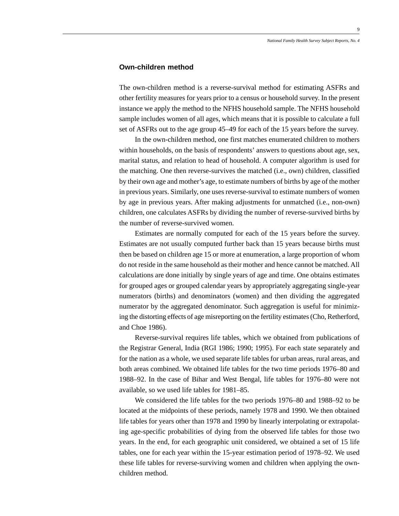### **Own-children method**

The own-children method is a reverse-survival method for estimating ASFRs and other fertility measures for years prior to a census or household survey. In the present instance we apply the method to the NFHS household sample. The NFHS household sample includes women of all ages, which means that it is possible to calculate a full set of ASFRs out to the age group 45–49 for each of the 15 years before the survey.

In the own-children method, one first matches enumerated children to mothers within households, on the basis of respondents' answers to questions about age, sex, marital status, and relation to head of household. A computer algorithm is used for the matching. One then reverse-survives the matched (i.e., own) children, classified by their own age and mother's age, to estimate numbers of births by age of the mother in previous years. Similarly, one uses reverse-survival to estimate numbers of women by age in previous years. After making adjustments for unmatched (i.e., non-own) children, one calculates ASFRs by dividing the number of reverse-survived births by the number of reverse-survived women.

Estimates are normally computed for each of the 15 years before the survey. Estimates are not usually computed further back than 15 years because births must then be based on children age 15 or more at enumeration, a large proportion of whom do not reside in the same household as their mother and hence cannot be matched. All calculations are done initially by single years of age and time. One obtains estimates for grouped ages or grouped calendar years by appropriately aggregating single-year numerators (births) and denominators (women) and then dividing the aggregated numerator by the aggregated denominator. Such aggregation is useful for minimizing the distorting effects of age misreporting on the fertility estimates (Cho, Retherford, and Choe 1986).

Reverse-survival requires life tables, which we obtained from publications of the Registrar General, India (RGI 1986; 1990; 1995). For each state separately and for the nation as a whole, we used separate life tables for urban areas, rural areas, and both areas combined. We obtained life tables for the two time periods 1976–80 and 1988–92. In the case of Bihar and West Bengal, life tables for 1976–80 were not available, so we used life tables for 1981–85.

We considered the life tables for the two periods 1976–80 and 1988–92 to be located at the midpoints of these periods, namely 1978 and 1990. We then obtained life tables for years other than 1978 and 1990 by linearly interpolating or extrapolating age-specific probabilities of dying from the observed life tables for those two years. In the end, for each geographic unit considered, we obtained a set of 15 life tables, one for each year within the 15-year estimation period of 1978–92. We used these life tables for reverse-surviving women and children when applying the ownchildren method.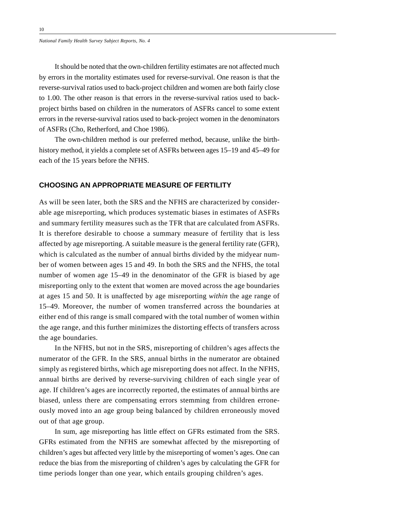It should be noted that the own-children fertility estimates are not affected much by errors in the mortality estimates used for reverse-survival. One reason is that the reverse-survival ratios used to back-project children and women are both fairly close to 1.00. The other reason is that errors in the reverse-survival ratios used to backproject births based on children in the numerators of ASFRs cancel to some extent errors in the reverse-survival ratios used to back-project women in the denominators of ASFRs (Cho, Retherford, and Choe 1986).

The own-children method is our preferred method, because, unlike the birthhistory method, it yields a complete set of ASFRs between ages 15–19 and 45–49 for each of the 15 years before the NFHS.

### **CHOOSING AN APPROPRIATE MEASURE OF FERTILITY**

As will be seen later, both the SRS and the NFHS are characterized by considerable age misreporting, which produces systematic biases in estimates of ASFRs and summary fertility measures such as the TFR that are calculated from ASFRs. It is therefore desirable to choose a summary measure of fertility that is less affected by age misreporting. A suitable measure is the general fertility rate (GFR), which is calculated as the number of annual births divided by the midyear number of women between ages 15 and 49. In both the SRS and the NFHS, the total number of women age 15–49 in the denominator of the GFR is biased by age misreporting only to the extent that women are moved across the age boundaries at ages 15 and 50. It is unaffected by age misreporting *within* the age range of 15–49. Moreover, the number of women transferred across the boundaries at either end of this range is small compared with the total number of women within the age range, and this further minimizes the distorting effects of transfers across the age boundaries.

In the NFHS, but not in the SRS, misreporting of children's ages affects the numerator of the GFR. In the SRS, annual births in the numerator are obtained simply as registered births, which age misreporting does not affect. In the NFHS, annual births are derived by reverse-surviving children of each single year of age. If children's ages are incorrectly reported, the estimates of annual births are biased, unless there are compensating errors stemming from children erroneously moved into an age group being balanced by children erroneously moved out of that age group.

In sum, age misreporting has little effect on GFRs estimated from the SRS. GFRs estimated from the NFHS are somewhat affected by the misreporting of children's ages but affected very little by the misreporting of women's ages. One can reduce the bias from the misreporting of children's ages by calculating the GFR for time periods longer than one year, which entails grouping children's ages.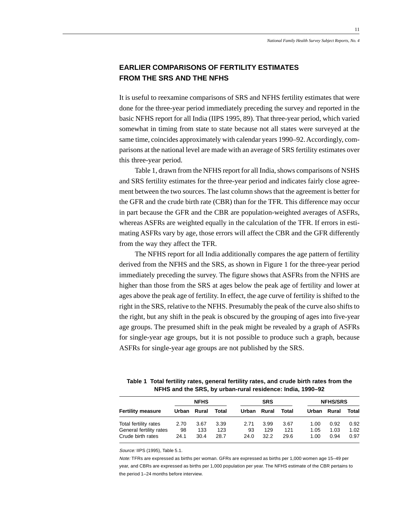## **EARLIER COMPARISONS OF FERTILITY ESTIMATES FROM THE SRS AND THE NFHS**

It is useful to reexamine comparisons of SRS and NFHS fertility estimates that were done for the three-year period immediately preceding the survey and reported in the basic NFHS report for all India (IIPS 1995, 89). That three-year period, which varied somewhat in timing from state to state because not all states were surveyed at the same time, coincides approximately with calendar years 1990–92. Accordingly, comparisons at the national level are made with an average of SRS fertility estimates over this three-year period.

Table 1, drawn from the NFHS report for all India, shows comparisons of NSHS and SRS fertility estimates for the three-year period and indicates fairly close agreement between the two sources. The last column shows that the agreement is better for the GFR and the crude birth rate (CBR) than for the TFR. This difference may occur in part because the GFR and the CBR are population-weighted averages of ASFRs, whereas ASFRs are weighted equally in the calculation of the TFR. If errors in estimating ASFRs vary by age, those errors will affect the CBR and the GFR differently from the way they affect the TFR.

The NFHS report for all India additionally compares the age pattern of fertility derived from the NFHS and the SRS, as shown in Figure 1 for the three-year period immediately preceding the survey. The figure shows that ASFRs from the NFHS are higher than those from the SRS at ages below the peak age of fertility and lower at ages above the peak age of fertility. In effect, the age curve of fertility is shifted to the right in the SRS, relative to the NFHS. Presumably the peak of the curve also shifts to the right, but any shift in the peak is obscured by the grouping of ages into five-year age groups. The presumed shift in the peak might be revealed by a graph of ASFRs for single-year age groups, but it is not possible to produce such a graph, because ASFRs for single-year age groups are not published by the SRS.

| Table 1 Total fertility rates, general fertility rates, and crude birth rates from the |
|----------------------------------------------------------------------------------------|
| NFHS and the SRS, by urban-rural residence: India, 1990–92                             |

|                          | <b>NFHS</b> |       |       | <b>SRS</b> |       |       | <b>NFHS/SRS</b> |      |       |
|--------------------------|-------------|-------|-------|------------|-------|-------|-----------------|------|-------|
| <b>Fertility measure</b> | Urban       | Rural | Total | Urban      | Rural | Total | Urban Rural     |      | Total |
| Total fertility rates    | 2.70        | 3.67  | 3.39  | 2.71       | 3.99  | 3.67  | 1.00            | 0.92 | 0.92  |
| General fertility rates  | 98          | 133   | 123   | 93         | 129   | 121   | 1.05            | 1.03 | 1.02  |
| Crude birth rates        | 24.1        | 30.4  | 28.7  | 24.0       | 32.2  | 29.6  | 1.00            | 0.94 | 0.97  |

Source: IIPS (1995), Table 5.1.

Note: TFRs are expressed as births per woman. GFRs are expressed as births per 1,000 women age 15–49 per year, and CBRs are expressed as births per 1,000 population per year. The NFHS estimate of the CBR pertains to the period 1–24 months before interview.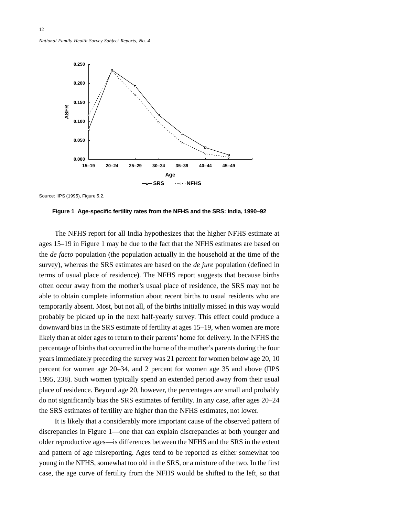

Source: IIPS (1995), Figure 5.2.

The NFHS report for all India hypothesizes that the higher NFHS estimate at ages 15–19 in Figure 1 may be due to the fact that the NFHS estimates are based on the *de facto* population (the population actually in the household at the time of the survey), whereas the SRS estimates are based on the *de jure* population (defined in terms of usual place of residence). The NFHS report suggests that because births often occur away from the mother's usual place of residence, the SRS may not be able to obtain complete information about recent births to usual residents who are temporarily absent. Most, but not all, of the births initially missed in this way would probably be picked up in the next half-yearly survey. This effect could produce a downward bias in the SRS estimate of fertility at ages 15–19, when women are more likely than at older ages to return to their parents' home for delivery. In the NFHS the percentage of births that occurred in the home of the mother's parents during the four years immediately preceding the survey was 21 percent for women below age 20, 10 percent for women age 20–34, and 2 percent for women age 35 and above (IIPS 1995, 238). Such women typically spend an extended period away from their usual place of residence. Beyond age 20, however, the percentages are small and probably do not significantly bias the SRS estimates of fertility. In any case, after ages 20–24 the SRS estimates of fertility are higher than the NFHS estimates, not lower.

It is likely that a considerably more important cause of the observed pattern of discrepancies in Figure 1—one that can explain discrepancies at both younger and older reproductive ages—is differences between the NFHS and the SRS in the extent and pattern of age misreporting. Ages tend to be reported as either somewhat too young in the NFHS, somewhat too old in the SRS, or a mixture of the two. In the first case, the age curve of fertility from the NFHS would be shifted to the left, so that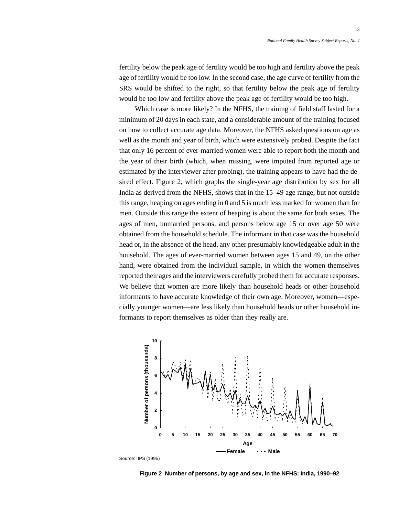fertility below the peak age of fertility would be too high and fertility above the peak age of fertility would be too low. In the second case, the age curve of fertility from the SRS would be shifted to the right, so that fertility below the peak age of fertility would be too low and fertility above the peak age of fertility would be too high.

Which case is more likely? In the NFHS, the training of field staff lasted for a minimum of 20 days in each state, and a considerable amount of the training focused on how to collect accurate age data. Moreover, the NFHS asked questions on age as well as the month and year of birth, which were extensively probed. Despite the fact that only 16 percent of ever-married women were able to report both the month and the year of their birth (which, when missing, were imputed from reported age or estimated by the interviewer after probing), the training appears to have had the desired effect. Figure 2, which graphs the single-year age distribution by sex for all India as derived from the NFHS, shows that in the 15–49 age range, but not outside this range, heaping on ages ending in 0 and 5 is much less marked for women than for men. Outside this range the extent of heaping is about the same for both sexes. The ages of men, unmarried persons, and persons below age 15 or over age 50 were obtained from the household schedule. The informant in that case was the household head or, in the absence of the head, any other presumably knowledgeable adult in the household. The ages of ever-married women between ages 15 and 49, on the other hand, were obtained from the individual sample, in which the women themselves reported their ages and the interviewers carefully probed them for accurate responses. We believe that women are more likely than household heads or other household informants to have accurate knowledge of their own age. Moreover, women—especially younger women—are less likely than household heads or other household informants to report themselves as older than they really are.



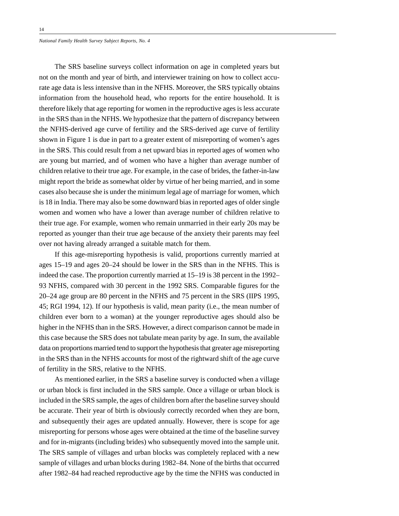The SRS baseline surveys collect information on age in completed years but not on the month and year of birth, and interviewer training on how to collect accurate age data is less intensive than in the NFHS. Moreover, the SRS typically obtains information from the household head, who reports for the entire household. It is therefore likely that age reporting for women in the reproductive ages is less accurate in the SRS than in the NFHS. We hypothesize that the pattern of discrepancy between the NFHS-derived age curve of fertility and the SRS-derived age curve of fertility shown in Figure 1 is due in part to a greater extent of misreporting of women's ages in the SRS. This could result from a net upward bias in reported ages of women who are young but married, and of women who have a higher than average number of children relative to their true age. For example, in the case of brides, the father-in-law might report the bride as somewhat older by virtue of her being married, and in some cases also because she is under the minimum legal age of marriage for women, which is 18 in India. There may also be some downward bias in reported ages of older single women and women who have a lower than average number of children relative to their true age. For example, women who remain unmarried in their early 20s may be reported as younger than their true age because of the anxiety their parents may feel over not having already arranged a suitable match for them.

If this age-misreporting hypothesis is valid, proportions currently married at ages 15–19 and ages 20–24 should be lower in the SRS than in the NFHS. This is indeed the case. The proportion currently married at 15–19 is 38 percent in the 1992– 93 NFHS, compared with 30 percent in the 1992 SRS. Comparable figures for the 20–24 age group are 80 percent in the NFHS and 75 percent in the SRS (IIPS 1995, 45; RGI 1994, 12). If our hypothesis is valid, mean parity (i.e., the mean number of children ever born to a woman) at the younger reproductive ages should also be higher in the NFHS than in the SRS. However, a direct comparison cannot be made in this case because the SRS does not tabulate mean parity by age. In sum, the available data on proportions married tend to support the hypothesis that greater age misreporting in the SRS than in the NFHS accounts for most of the rightward shift of the age curve of fertility in the SRS, relative to the NFHS.

As mentioned earlier, in the SRS a baseline survey is conducted when a village or urban block is first included in the SRS sample. Once a village or urban block is included in the SRS sample, the ages of children born after the baseline survey should be accurate. Their year of birth is obviously correctly recorded when they are born, and subsequently their ages are updated annually. However, there is scope for age misreporting for persons whose ages were obtained at the time of the baseline survey and for in-migrants (including brides) who subsequently moved into the sample unit. The SRS sample of villages and urban blocks was completely replaced with a new sample of villages and urban blocks during 1982–84. None of the births that occurred after 1982–84 had reached reproductive age by the time the NFHS was conducted in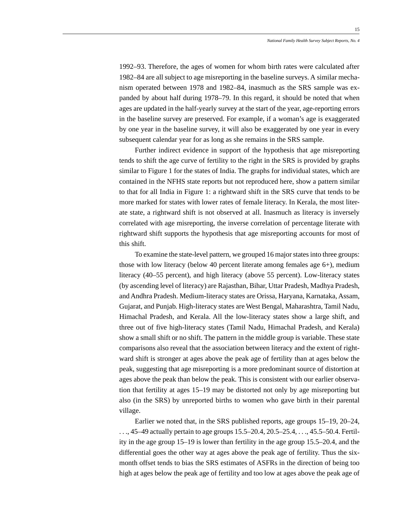1992–93. Therefore, the ages of women for whom birth rates were calculated after 1982–84 are all subject to age misreporting in the baseline surveys. A similar mechanism operated between 1978 and 1982–84, inasmuch as the SRS sample was expanded by about half during 1978–79. In this regard, it should be noted that when ages are updated in the half-yearly survey at the start of the year, age-reporting errors in the baseline survey are preserved. For example, if a woman's age is exaggerated by one year in the baseline survey, it will also be exaggerated by one year in every subsequent calendar year for as long as she remains in the SRS sample.

Further indirect evidence in support of the hypothesis that age misreporting tends to shift the age curve of fertility to the right in the SRS is provided by graphs similar to Figure 1 for the states of India. The graphs for individual states, which are contained in the NFHS state reports but not reproduced here, show a pattern similar to that for all India in Figure 1: a rightward shift in the SRS curve that tends to be more marked for states with lower rates of female literacy. In Kerala, the most literate state, a rightward shift is not observed at all. Inasmuch as literacy is inversely correlated with age misreporting, the inverse correlation of percentage literate with rightward shift supports the hypothesis that age misreporting accounts for most of this shift.

To examine the state-level pattern, we grouped 16 major states into three groups: those with low literacy (below 40 percent literate among females age 6+), medium literacy (40–55 percent), and high literacy (above 55 percent). Low-literacy states (by ascending level of literacy) are Rajasthan, Bihar, Uttar Pradesh, Madhya Pradesh, and Andhra Pradesh. Medium-literacy states are Orissa, Haryana, Karnataka, Assam, Gujarat, and Punjab. High-literacy states are West Bengal, Maharashtra, Tamil Nadu, Himachal Pradesh, and Kerala. All the low-literacy states show a large shift, and three out of five high-literacy states (Tamil Nadu, Himachal Pradesh, and Kerala) show a small shift or no shift. The pattern in the middle group is variable. These state comparisons also reveal that the association between literacy and the extent of rightward shift is stronger at ages above the peak age of fertility than at ages below the peak, suggesting that age misreporting is a more predominant source of distortion at ages above the peak than below the peak. This is consistent with our earlier observation that fertility at ages 15–19 may be distorted not only by age misreporting but also (in the SRS) by unreported births to women who gave birth in their parental village.

Earlier we noted that, in the SRS published reports, age groups 15–19, 20–24, . . ., 45–49 actually pertain to age groups 15.5–20.4, 20.5–25.4, . . ., 45.5–50.4. Fertility in the age group 15–19 is lower than fertility in the age group 15.5–20.4, and the differential goes the other way at ages above the peak age of fertility. Thus the sixmonth offset tends to bias the SRS estimates of ASFRs in the direction of being too high at ages below the peak age of fertility and too low at ages above the peak age of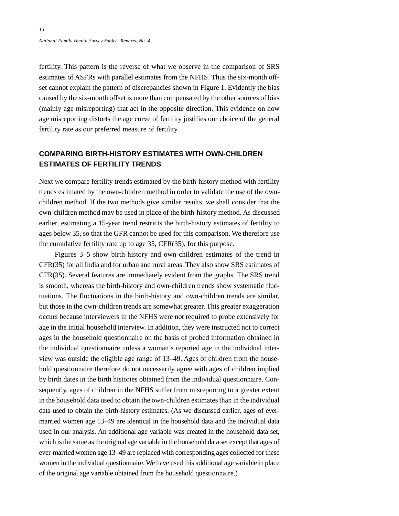fertility. This pattern is the reverse of what we observe in the comparison of SRS estimates of ASFRs with parallel estimates from the NFHS. Thus the six-month offset cannot explain the pattern of discrepancies shown in Figure 1. Evidently the bias caused by the six-month offset is more than compensated by the other sources of bias (mainly age misreporting) that act in the opposite direction. This evidence on how age misreporting distorts the age curve of fertility justifies our choice of the general fertility rate as our preferred measure of fertility.

## **COMPARING BIRTH-HISTORY ESTIMATES WITH OWN-CHILDREN ESTIMATES OF FERTILITY TRENDS**

Next we compare fertility trends estimated by the birth-history method with fertility trends estimated by the own-children method in order to validate the use of the ownchildren method. If the two methods give similar results, we shall consider that the own-children method may be used in place of the birth-history method. As discussed earlier, estimating a 15-year trend restricts the birth-history estimates of fertility to ages below 35, so that the GFR cannot be used for this comparison. We therefore use the cumulative fertility rate up to age 35, CFR(35), for this purpose.

Figures 3–5 show birth-history and own-children estimates of the trend in CFR(35) for all India and for urban and rural areas. They also show SRS estimates of CFR(35). Several features are immediately evident from the graphs. The SRS trend is smooth, whereas the birth-history and own-children trends show systematic fluctuations. The fluctuations in the birth-history and own-children trends are similar, but those in the own-children trends are somewhat greater. This greater exaggeration occurs because interviewers in the NFHS were not required to probe extensively for age in the initial household interview. In addition, they were instructed not to correct ages in the household questionnaire on the basis of probed information obtained in the individual questionnaire unless a woman's reported age in the individual interview was outside the eligible age range of 13–49. Ages of children from the household questionnaire therefore do not necessarily agree with ages of children implied by birth dates in the birth histories obtained from the individual questionnaire. Consequently, ages of children in the NFHS suffer from misreporting to a greater extent in the household data used to obtain the own-children estimates than in the individual data used to obtain the birth-history estimates. (As we discussed earlier, ages of evermarried women age 13–49 are identical in the household data and the individual data used in our analysis. An additional age variable was created in the household data set, which is the same as the original age variable in the household data set except that ages of ever-married women age 13–49 are replaced with corresponding ages collected for these women in the individual questionnaire. We have used this additional age variable in place of the original age variable obtained from the household questionnaire.)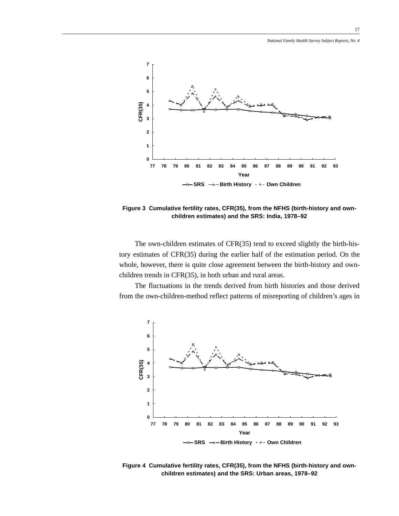

**Figure 3 Cumulative fertility rates, CFR(35), from the NFHS (birth-history and ownchildren estimates) and the SRS: India, 1978–92**

The own-children estimates of CFR(35) tend to exceed slightly the birth-history estimates of CFR(35) during the earlier half of the estimation period. On the whole, however, there is quite close agreement between the birth-history and ownchildren trends in CFR(35), in both urban and rural areas.

The fluctuations in the trends derived from birth histories and those derived from the own-children-method reflect patterns of misreporting of children's ages in



**Figure 4 Cumulative fertility rates, CFR(35), from the NFHS (birth-history and ownchildren estimates) and the SRS: Urban areas, 1978–92**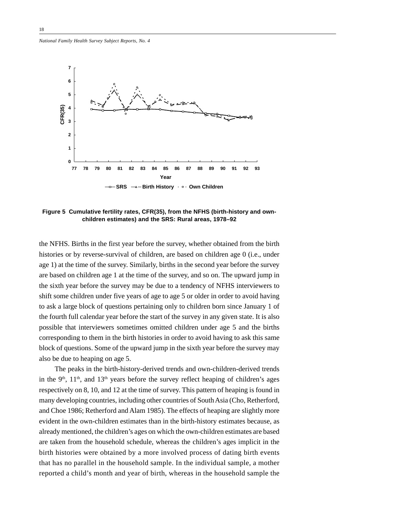

**Figure 5 Cumulative fertility rates, CFR(35), from the NFHS (birth-history and ownchildren estimates) and the SRS: Rural areas, 1978–92**

the NFHS. Births in the first year before the survey, whether obtained from the birth histories or by reverse-survival of children, are based on children age 0 (i.e., under age 1) at the time of the survey. Similarly, births in the second year before the survey are based on children age 1 at the time of the survey, and so on. The upward jump in the sixth year before the survey may be due to a tendency of NFHS interviewers to shift some children under five years of age to age 5 or older in order to avoid having to ask a large block of questions pertaining only to children born since January 1 of the fourth full calendar year before the start of the survey in any given state. It is also possible that interviewers sometimes omitted children under age 5 and the births corresponding to them in the birth histories in order to avoid having to ask this same block of questions. Some of the upward jump in the sixth year before the survey may also be due to heaping on age 5.

The peaks in the birth-history-derived trends and own-children-derived trends in the  $9<sup>th</sup>$ ,  $11<sup>th</sup>$ , and  $13<sup>th</sup>$  years before the survey reflect heaping of children's ages respectively on 8, 10, and 12 at the time of survey. This pattern of heaping is found in many developing countries, including other countries of South Asia (Cho, Retherford, and Choe 1986; Retherford and Alam 1985). The effects of heaping are slightly more evident in the own-children estimates than in the birth-history estimates because, as already mentioned, the children's ages on which the own-children estimates are based are taken from the household schedule, whereas the children's ages implicit in the birth histories were obtained by a more involved process of dating birth events that has no parallel in the household sample. In the individual sample, a mother reported a child's month and year of birth, whereas in the household sample the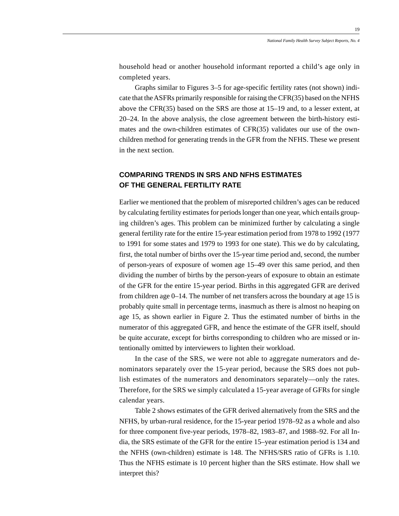household head or another household informant reported a child's age only in completed years.

Graphs similar to Figures 3–5 for age-specific fertility rates (not shown) indicate that the ASFRs primarily responsible for raising the CFR(35) based on the NFHS above the CFR(35) based on the SRS are those at 15–19 and, to a lesser extent, at 20–24. In the above analysis, the close agreement between the birth-history estimates and the own-children estimates of CFR(35) validates our use of the ownchildren method for generating trends in the GFR from the NFHS. These we present in the next section.

### **COMPARING TRENDS IN SRS AND NFHS ESTIMATES OF THE GENERAL FERTILITY RATE**

Earlier we mentioned that the problem of misreported children's ages can be reduced by calculating fertility estimates for periods longer than one year, which entails grouping children's ages. This problem can be minimized further by calculating a single general fertility rate for the entire 15-year estimation period from 1978 to 1992 (1977 to 1991 for some states and 1979 to 1993 for one state). This we do by calculating, first, the total number of births over the 15-year time period and, second, the number of person-years of exposure of women age 15–49 over this same period, and then dividing the number of births by the person-years of exposure to obtain an estimate of the GFR for the entire 15-year period. Births in this aggregated GFR are derived from children age 0–14. The number of net transfers across the boundary at age 15 is probably quite small in percentage terms, inasmuch as there is almost no heaping on age 15, as shown earlier in Figure 2. Thus the estimated number of births in the numerator of this aggregated GFR, and hence the estimate of the GFR itself, should be quite accurate, except for births corresponding to children who are missed or intentionally omitted by interviewers to lighten their workload.

In the case of the SRS, we were not able to aggregate numerators and denominators separately over the 15-year period, because the SRS does not publish estimates of the numerators and denominators separately—only the rates. Therefore, for the SRS we simply calculated a 15-year average of GFRs for single calendar years.

Table 2 shows estimates of the GFR derived alternatively from the SRS and the NFHS, by urban-rural residence, for the 15-year period 1978–92 as a whole and also for three component five-year periods, 1978–82, 1983–87, and 1988–92. For all India, the SRS estimate of the GFR for the entire 15–year estimation period is 134 and the NFHS (own-children) estimate is 148. The NFHS/SRS ratio of GFRs is 1.10. Thus the NFHS estimate is 10 percent higher than the SRS estimate. How shall we interpret this?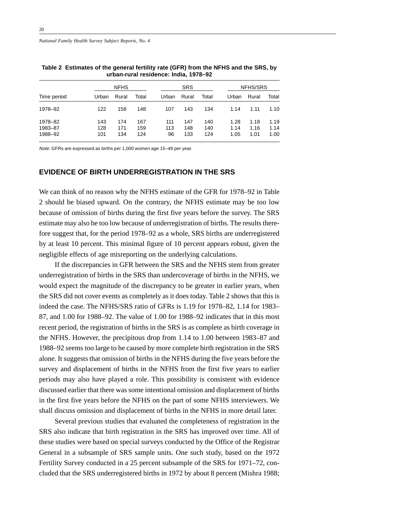|             | <b>NFHS</b> |       |       | <b>SRS</b> |       |       | NFHS/SRS |       |       |
|-------------|-------------|-------|-------|------------|-------|-------|----------|-------|-------|
| Time period | Urban       | Rural | Total | Urban      | Rural | Total | Urban    | Rural | Total |
| 1978-92     | 122         | 158   | 148   | 107        | 143   | 134   | 1.14     | 1.11  | 1.10  |
| 1978-82     | 143         | 174   | 167   | 111        | 147   | 140   | 1.28     | 1.18  | 1.19  |
| 1983-87     | 128         | 171   | 159   | 113        | 148   | 140   | 1.14     | 1.16  | 1.14  |
| 1988-92     | 101         | 134   | 124   | 96         | 133   | 124   | 1.05     | 1.01  | 1.00  |

**Table 2 Estimates of the general fertility rate (GFR) from the NFHS and the SRS, by urban-rural residence: India, 1978–92**

Note: GFRs are expressed as births per 1,000 women age 15–49 per year.

### **EVIDENCE OF BIRTH UNDERREGISTRATION IN THE SRS**

We can think of no reason why the NFHS estimate of the GFR for 1978–92 in Table 2 should be biased upward. On the contrary, the NFHS estimate may be too low because of omission of births during the first five years before the survey. The SRS estimate may also be too low because of underregistration of births. The results therefore suggest that, for the period 1978–92 as a whole, SRS births are underregistered by at least 10 percent. This minimal figure of 10 percent appears robust, given the negligible effects of age misreporting on the underlying calculations.

If the discrepancies in GFR between the SRS and the NFHS stem from greater underregistration of births in the SRS than undercoverage of births in the NFHS, we would expect the magnitude of the discrepancy to be greater in earlier years, when the SRS did not cover events as completely as it does today. Table 2 shows that this is indeed the case. The NFHS/SRS ratio of GFRs is 1.19 for 1978–82, 1.14 for 1983– 87, and 1.00 for 1988–92. The value of 1.00 for 1988–92 indicates that in this most recent period, the registration of births in the SRS is as complete as birth coverage in the NFHS. However, the precipitous drop from 1.14 to 1.00 between 1983–87 and 1988–92 seems too large to be caused by more complete birth registration in the SRS alone. It suggests that omission of births in the NFHS during the five years before the survey and displacement of births in the NFHS from the first five years to earlier periods may also have played a role. This possibility is consistent with evidence discussed earlier that there was some intentional omission and displacement of births in the first five years before the NFHS on the part of some NFHS interviewers. We shall discuss omission and displacement of births in the NFHS in more detail later.

Several previous studies that evaluated the completeness of registration in the SRS also indicate that birth registration in the SRS has improved over time. All of these studies were based on special surveys conducted by the Office of the Registrar General in a subsample of SRS sample units. One such study, based on the 1972 Fertility Survey conducted in a 25 percent subsample of the SRS for 1971–72, concluded that the SRS underregistered births in 1972 by about 8 percent (Mishra 1988;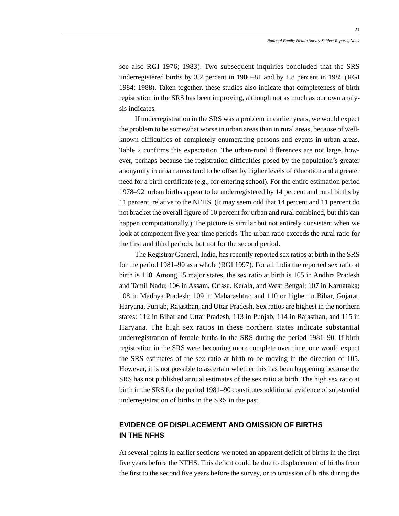see also RGI 1976; 1983). Two subsequent inquiries concluded that the SRS underregistered births by 3.2 percent in 1980–81 and by 1.8 percent in 1985 (RGI 1984; 1988). Taken together, these studies also indicate that completeness of birth registration in the SRS has been improving, although not as much as our own analysis indicates.

If underregistration in the SRS was a problem in earlier years, we would expect the problem to be somewhat worse in urban areas than in rural areas, because of wellknown difficulties of completely enumerating persons and events in urban areas. Table 2 confirms this expectation. The urban-rural differences are not large, however, perhaps because the registration difficulties posed by the population's greater anonymity in urban areas tend to be offset by higher levels of education and a greater need for a birth certificate (e.g., for entering school). For the entire estimation period 1978–92, urban births appear to be underregistered by 14 percent and rural births by 11 percent, relative to the NFHS. (It may seem odd that 14 percent and 11 percent do not bracket the overall figure of 10 percent for urban and rural combined, but this can happen computationally.) The picture is similar but not entirely consistent when we look at component five-year time periods. The urban ratio exceeds the rural ratio for the first and third periods, but not for the second period.

The Registrar General, India, has recently reported sex ratios at birth in the SRS for the period 1981–90 as a whole (RGI 1997). For all India the reported sex ratio at birth is 110. Among 15 major states, the sex ratio at birth is 105 in Andhra Pradesh and Tamil Nadu; 106 in Assam, Orissa, Kerala, and West Bengal; 107 in Karnataka; 108 in Madhya Pradesh; 109 in Maharashtra; and 110 or higher in Bihar, Gujarat, Haryana, Punjab, Rajasthan, and Uttar Pradesh. Sex ratios are highest in the northern states: 112 in Bihar and Uttar Pradesh, 113 in Punjab, 114 in Rajasthan, and 115 in Haryana. The high sex ratios in these northern states indicate substantial underregistration of female births in the SRS during the period 1981–90. If birth registration in the SRS were becoming more complete over time, one would expect the SRS estimates of the sex ratio at birth to be moving in the direction of 105. However, it is not possible to ascertain whether this has been happening because the SRS has not published annual estimates of the sex ratio at birth. The high sex ratio at birth in the SRS for the period 1981–90 constitutes additional evidence of substantial underregistration of births in the SRS in the past.

### **EVIDENCE OF DISPLACEMENT AND OMISSION OF BIRTHS IN THE NFHS**

At several points in earlier sections we noted an apparent deficit of births in the first five years before the NFHS. This deficit could be due to displacement of births from the first to the second five years before the survey, or to omission of births during the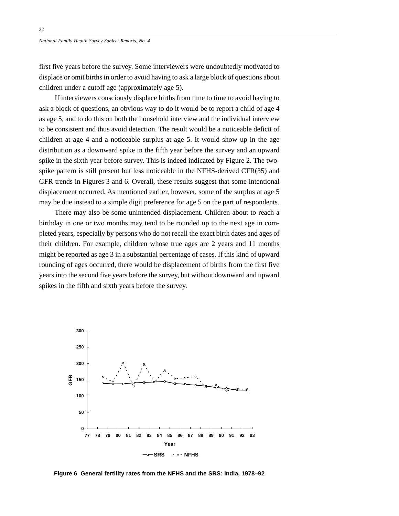first five years before the survey. Some interviewers were undoubtedly motivated to displace or omit births in order to avoid having to ask a large block of questions about children under a cutoff age (approximately age 5).

If interviewers consciously displace births from time to time to avoid having to ask a block of questions, an obvious way to do it would be to report a child of age 4 as age 5, and to do this on both the household interview and the individual interview to be consistent and thus avoid detection. The result would be a noticeable deficit of children at age 4 and a noticeable surplus at age 5. It would show up in the age distribution as a downward spike in the fifth year before the survey and an upward spike in the sixth year before survey. This is indeed indicated by Figure 2. The twospike pattern is still present but less noticeable in the NFHS-derived CFR(35) and GFR trends in Figures 3 and 6. Overall, these results suggest that some intentional displacement occurred. As mentioned earlier, however, some of the surplus at age 5 may be due instead to a simple digit preference for age 5 on the part of respondents.

There may also be some unintended displacement. Children about to reach a birthday in one or two months may tend to be rounded up to the next age in completed years, especially by persons who do not recall the exact birth dates and ages of their children. For example, children whose true ages are 2 years and 11 months might be reported as age 3 in a substantial percentage of cases. If this kind of upward rounding of ages occurred, there would be displacement of births from the first five years into the second five years before the survey, but without downward and upward spikes in the fifth and sixth years before the survey.



**Figure 6 General fertility rates from the NFHS and the SRS: India, 1978–92**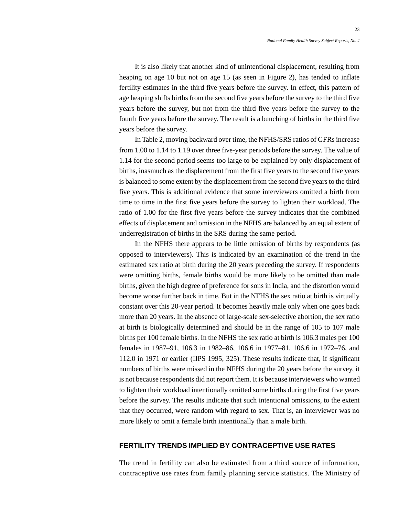It is also likely that another kind of unintentional displacement, resulting from heaping on age 10 but not on age 15 (as seen in Figure 2), has tended to inflate fertility estimates in the third five years before the survey. In effect, this pattern of age heaping shifts births from the second five years before the survey to the third five years before the survey, but not from the third five years before the survey to the fourth five years before the survey. The result is a bunching of births in the third five years before the survey.

In Table 2, moving backward over time, the NFHS/SRS ratios of GFRs increase from 1.00 to 1.14 to 1.19 over three five-year periods before the survey. The value of 1.14 for the second period seems too large to be explained by only displacement of births, inasmuch as the displacement from the first five years to the second five years is balanced to some extent by the displacement from the second five years to the third five years. This is additional evidence that some interviewers omitted a birth from time to time in the first five years before the survey to lighten their workload. The ratio of 1.00 for the first five years before the survey indicates that the combined effects of displacement and omission in the NFHS are balanced by an equal extent of underregistration of births in the SRS during the same period.

In the NFHS there appears to be little omission of births by respondents (as opposed to interviewers). This is indicated by an examination of the trend in the estimated sex ratio at birth during the 20 years preceding the survey. If respondents were omitting births, female births would be more likely to be omitted than male births, given the high degree of preference for sons in India, and the distortion would become worse further back in time. But in the NFHS the sex ratio at birth is virtually constant over this 20-year period. It becomes heavily male only when one goes back more than 20 years. In the absence of large-scale sex-selective abortion, the sex ratio at birth is biologically determined and should be in the range of 105 to 107 male births per 100 female births. In the NFHS the sex ratio at birth is 106.3 males per 100 females in 1987–91, 106.3 in 1982–86, 106.6 in 1977–81, 106.6 in 1972–76, and 112.0 in 1971 or earlier (IIPS 1995, 325). These results indicate that, if significant numbers of births were missed in the NFHS during the 20 years before the survey, it is not because respondents did not report them. It is because interviewers who wanted to lighten their workload intentionally omitted some births during the first five years before the survey. The results indicate that such intentional omissions, to the extent that they occurred, were random with regard to sex. That is, an interviewer was no more likely to omit a female birth intentionally than a male birth.

### **FERTILITY TRENDS IMPLIED BY CONTRACEPTIVE USE RATES**

The trend in fertility can also be estimated from a third source of information, contraceptive use rates from family planning service statistics. The Ministry of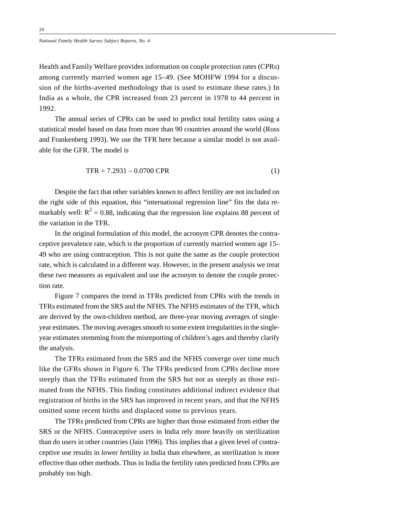Health and Family Welfare provides information on couple protection rates (CPRs) among currently married women age 15–49. (See MOHFW 1994 for a discussion of the births-averted methodology that is used to estimate these rates.) In India as a whole, the CPR increased from 23 percent in 1978 to 44 percent in 1992.

The annual series of CPRs can be used to predict total fertility rates using a statistical model based on data from more than 90 countries around the world (Ross and Frankenberg 1993). We use the TFR here because a similar model is not available for the GFR. The model is

$$
TFR = 7.2931 - 0.0700 \text{ CPR} \tag{1}
$$

Despite the fact that other variables known to affect fertility are not included on the right side of this equation, this "international regression line" fits the data remarkably well:  $R^2 = 0.88$ , indicating that the regression line explains 88 percent of the variation in the TFR.

In the original formulation of this model, the acronym CPR denotes the contraceptive prevalence rate, which is the proportion of currently married women age 15– 49 who are using contraception. This is not quite the same as the couple protection rate, which is calculated in a different way. However, in the present analysis we treat these two measures as equivalent and use the acronym to denote the couple protection rate.

Figure 7 compares the trend in TFRs predicted from CPRs with the trends in TFRs estimated from the SRS and the NFHS. The NFHS estimates of the TFR, which are derived by the own-children method, are three-year moving averages of singleyear estimates. The moving averages smooth to some extent irregularities in the singleyear estimates stemming from the misreporting of children's ages and thereby clarify the analysis.

The TFRs estimated from the SRS and the NFHS converge over time much like the GFRs shown in Figure 6. The TFRs predicted from CPRs decline more steeply than the TFRs estimated from the SRS but not as steeply as those estimated from the NFHS. This finding constitutes additional indirect evidence that registration of births in the SRS has improved in recent years, and that the NFHS omitted some recent births and displaced some to previous years.

The TFRs predicted from CPRs are higher than those estimated from either the SRS or the NFHS. Contraceptive users in India rely more heavily on sterilization than do users in other countries (Jain 1996). This implies that a given level of contraceptive use results in lower fertility in India than elsewhere, as sterilization is more effective than other methods. Thus in India the fertility rates predicted from CPRs are probably too high.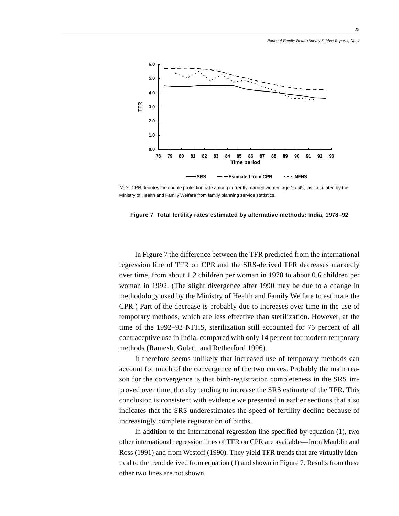

Note: CPR denotes the couple protection rate among currently married women age 15–49, as calculated by the Ministry of Health and Family Welfare from family planning service statistics.



In Figure 7 the difference between the TFR predicted from the international regression line of TFR on CPR and the SRS-derived TFR decreases markedly over time, from about 1.2 children per woman in 1978 to about 0.6 children per woman in 1992. (The slight divergence after 1990 may be due to a change in methodology used by the Ministry of Health and Family Welfare to estimate the CPR.) Part of the decrease is probably due to increases over time in the use of temporary methods, which are less effective than sterilization. However, at the time of the 1992–93 NFHS, sterilization still accounted for 76 percent of all contraceptive use in India, compared with only 14 percent for modern temporary methods (Ramesh, Gulati, and Retherford 1996).

It therefore seems unlikely that increased use of temporary methods can account for much of the convergence of the two curves. Probably the main reason for the convergence is that birth-registration completeness in the SRS improved over time, thereby tending to increase the SRS estimate of the TFR. This conclusion is consistent with evidence we presented in earlier sections that also indicates that the SRS underestimates the speed of fertility decline because of increasingly complete registration of births.

In addition to the international regression line specified by equation (1), two other international regression lines of TFR on CPR are available—from Mauldin and Ross (1991) and from Westoff (1990). They yield TFR trends that are virtually identical to the trend derived from equation (1) and shown in Figure 7. Results from these other two lines are not shown.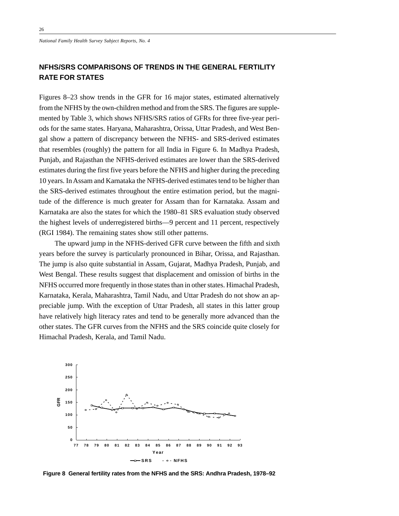## **NFHS/SRS COMPARISONS OF TRENDS IN THE GENERAL FERTILITY RATE FOR STATES**

Figures 8–23 show trends in the GFR for 16 major states, estimated alternatively from the NFHS by the own-children method and from the SRS. The figures are supplemented by Table 3, which shows NFHS/SRS ratios of GFRs for three five-year periods for the same states. Haryana, Maharashtra, Orissa, Uttar Pradesh, and West Bengal show a pattern of discrepancy between the NFHS- and SRS-derived estimates that resembles (roughly) the pattern for all India in Figure 6. In Madhya Pradesh, Punjab, and Rajasthan the NFHS-derived estimates are lower than the SRS-derived estimates during the first five years before the NFHS and higher during the preceding 10 years. In Assam and Karnataka the NFHS-derived estimates tend to be higher than the SRS-derived estimates throughout the entire estimation period, but the magnitude of the difference is much greater for Assam than for Karnataka. Assam and Karnataka are also the states for which the 1980–81 SRS evaluation study observed the highest levels of underregistered births—9 percent and 11 percent, respectively (RGI 1984). The remaining states show still other patterns.

The upward jump in the NFHS-derived GFR curve between the fifth and sixth years before the survey is particularly pronounced in Bihar, Orissa, and Rajasthan. The jump is also quite substantial in Assam, Gujarat, Madhya Pradesh, Punjab, and West Bengal. These results suggest that displacement and omission of births in the NFHS occurred more frequently in those states than in other states. Himachal Pradesh, Karnataka, Kerala, Maharashtra, Tamil Nadu, and Uttar Pradesh do not show an appreciable jump. With the exception of Uttar Pradesh, all states in this latter group have relatively high literacy rates and tend to be generally more advanced than the other states. The GFR curves from the NFHS and the SRS coincide quite closely for Himachal Pradesh, Kerala, and Tamil Nadu.



**Figure 8 General fertility rates from the NFHS and the SRS: Andhra Pradesh, 1978–92**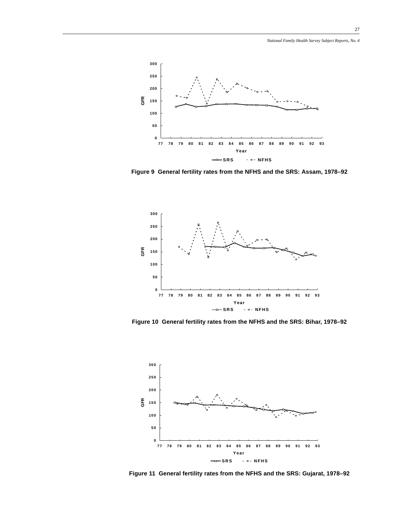*National Family Health Survey Subject Reports, No. 4*



**Figure 9 General fertility rates from the NFHS and the SRS: Assam, 1978–92**



**Figure 10 General fertility rates from the NFHS and the SRS: Bihar, 1978–92**



**Figure 11 General fertility rates from the NFHS and the SRS: Gujarat, 1978–92**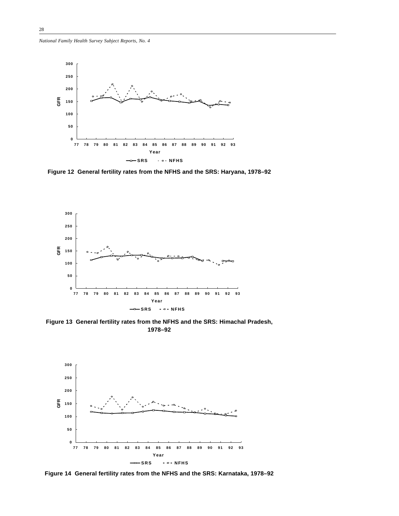*National Family Health Survey Subject Reports, No. 4*



**Figure 12 General fertility rates from the NFHS and the SRS: Haryana, 1978–92**



**Figure 13 General fertility rates from the NFHS and the SRS: Himachal Pradesh, 1978–92**



**Figure 14 General fertility rates from the NFHS and the SRS: Karnataka, 1978–92**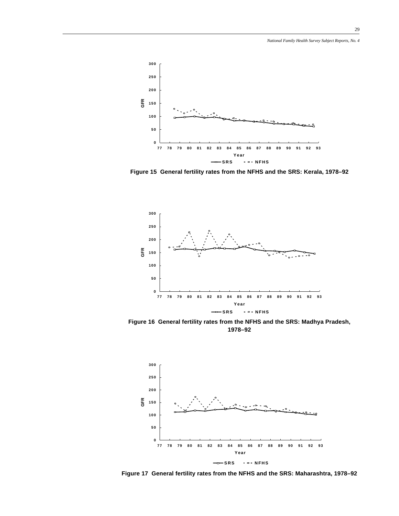

**Figure 15 General fertility rates from the NFHS and the SRS: Kerala, 1978–92**



**Figure 16 General fertility rates from the NFHS and the SRS: Madhya Pradesh, 1978–92**



**Figure 17 General fertility rates from the NFHS and the SRS: Maharashtra, 1978–92**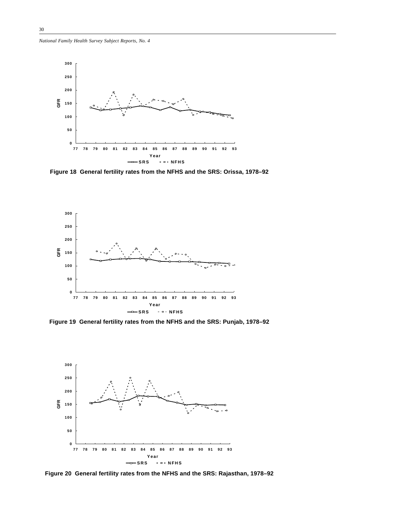*National Family Health Survey Subject Reports, No. 4*



**Figure 18 General fertility rates from the NFHS and the SRS: Orissa, 1978–92**



**Figure 19 General fertility rates from the NFHS and the SRS: Punjab, 1978–92**



**Figure 20 General fertility rates from the NFHS and the SRS: Rajasthan, 1978–92**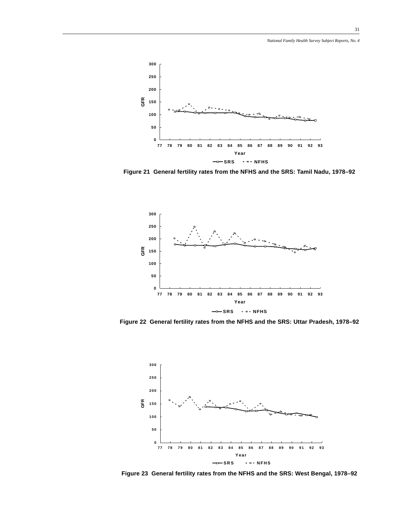

**Figure 21 General fertility rates from the NFHS and the SRS: Tamil Nadu, 1978–92**



**Figure 22 General fertility rates from the NFHS and the SRS: Uttar Pradesh, 1978–92**



**Figure 23 General fertility rates from the NFHS and the SRS: West Bengal, 1978–92**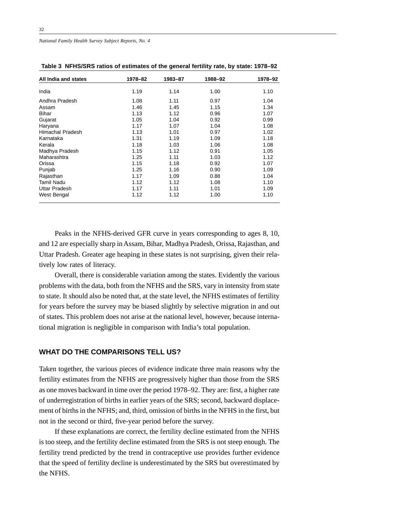| All India and states | 1978-82 | 1983-87 | 1988-92 | 1978-92 |
|----------------------|---------|---------|---------|---------|
| India                | 1.19    | 1.14    | 1.00    | 1.10    |
| Andhra Pradesh       | 1.08    | 1.11    | 0.97    | 1.04    |
| Assam                | 1.46    | 1.45    | 1.15    | 1.34    |
| <b>Bihar</b>         | 1.13    | 1.12    | 0.96    | 1.07    |
| Gujarat              | 1.05    | 1.04    | 0.92    | 0.99    |
| Haryana              | 1.17    | 1.07    | 1.04    | 1.08    |
| Himachal Pradesh     | 1.13    | 1.01    | 0.97    | 1.02    |
| Karnataka            | 1.31    | 1.19    | 1.09    | 1.18    |
| Kerala               | 1.18    | 1.03    | 1.06    | 1.08    |
| Madhya Pradesh       | 1.15    | 1.12    | 0.91    | 1.05    |
| Maharashtra          | 1.25    | 1.11    | 1.03    | 1.12    |
| Orissa               | 1.15    | 1.18    | 0.92    | 1.07    |
| Punjab               | 1.25    | 1.16    | 0.90    | 1.09    |
| Rajasthan            | 1.17    | 1.09    | 0.88    | 1.04    |
| Tamil Nadu           | 1.12    | 1.12    | 1.08    | 1.10    |
| Uttar Pradesh        | 1.17    | 1.11    | 1.01    | 1.09    |
| West Bengal          | 1.12    | 1.12    | 1.00    | 1.10    |

**Table 3 NFHS/SRS ratios of estimates of the general fertility rate, by state: 1978–92**

Peaks in the NFHS-derived GFR curve in years corresponding to ages 8, 10, and 12 are especially sharp in Assam, Bihar, Madhya Pradesh, Orissa, Rajasthan, and Uttar Pradesh. Greater age heaping in these states is not surprising, given their relatively low rates of literacy.

Overall, there is considerable variation among the states. Evidently the various problems with the data, both from the NFHS and the SRS, vary in intensity from state to state. It should also be noted that, at the state level, the NFHS estimates of fertility for years before the survey may be biased slightly by selective migration in and out of states. This problem does not arise at the national level, however, because international migration is negligible in comparison with India's total population.

### **WHAT DO THE COMPARISONS TELL US?**

Taken together, the various pieces of evidence indicate three main reasons why the fertility estimates from the NFHS are progressively higher than those from the SRS as one moves backward in time over the period 1978–92. They are: first, a higher rate of underregistration of births in earlier years of the SRS; second, backward displacement of births in the NFHS; and, third, omission of births in the NFHS in the first, but not in the second or third, five-year period before the survey.

If these explanations are correct, the fertility decline estimated from the NFHS is too steep, and the fertility decline estimated from the SRS is not steep enough. The fertility trend predicted by the trend in contraceptive use provides further evidence that the speed of fertility decline is underestimated by the SRS but overestimated by the NFHS.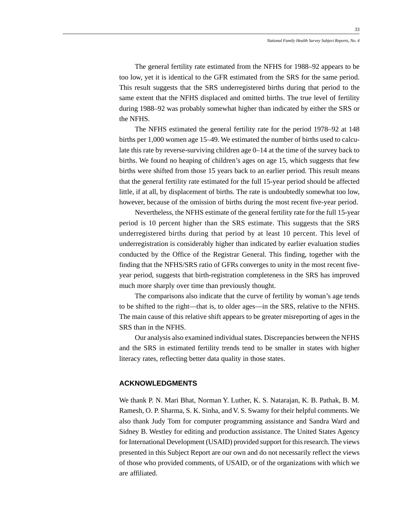The general fertility rate estimated from the NFHS for 1988–92 appears to be too low, yet it is identical to the GFR estimated from the SRS for the same period. This result suggests that the SRS underregistered births during that period to the same extent that the NFHS displaced and omitted births. The true level of fertility during 1988–92 was probably somewhat higher than indicated by either the SRS or the NFHS.

The NFHS estimated the general fertility rate for the period 1978–92 at 148 births per 1,000 women age 15–49. We estimated the number of births used to calculate this rate by reverse-surviving children age 0–14 at the time of the survey back to births. We found no heaping of children's ages on age 15, which suggests that few births were shifted from those 15 years back to an earlier period. This result means that the general fertility rate estimated for the full 15-year period should be affected little, if at all, by displacement of births. The rate is undoubtedly somewhat too low, however, because of the omission of births during the most recent five-year period.

Nevertheless, the NFHS estimate of the general fertility rate for the full 15-year period is 10 percent higher than the SRS estimate. This suggests that the SRS underregistered births during that period by at least 10 percent. This level of underregistration is considerably higher than indicated by earlier evaluation studies conducted by the Office of the Registrar General. This finding, together with the finding that the NFHS/SRS ratio of GFRs converges to unity in the most recent fiveyear period, suggests that birth-registration completeness in the SRS has improved much more sharply over time than previously thought.

The comparisons also indicate that the curve of fertility by woman's age tends to be shifted to the right—that is, to older ages—in the SRS, relative to the NFHS. The main cause of this relative shift appears to be greater misreporting of ages in the SRS than in the NFHS.

Our analysis also examined individual states. Discrepancies between the NFHS and the SRS in estimated fertility trends tend to be smaller in states with higher literacy rates, reflecting better data quality in those states.

### **ACKNOWLEDGMENTS**

We thank P. N. Mari Bhat, Norman Y. Luther, K. S. Natarajan, K. B. Pathak, B. M. Ramesh, O. P. Sharma, S. K. Sinha, and V. S. Swamy for their helpful comments. We also thank Judy Tom for computer programming assistance and Sandra Ward and Sidney B. Westley for editing and production assistance. The United States Agency for International Development (USAID) provided support for this research. The views presented in this Subject Report are our own and do not necessarily reflect the views of those who provided comments, of USAID, or of the organizations with which we are affiliated.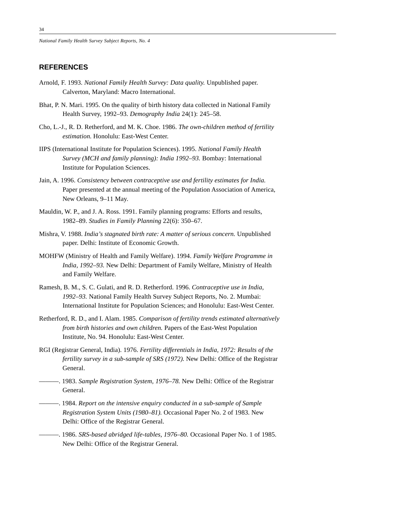### **REFERENCES**

- Arnold, F. 1993. *National Family Health Survey: Data quality.* Unpublished paper. Calverton, Maryland: Macro International.
- Bhat, P. N. Mari. 1995. On the quality of birth history data collected in National Family Health Survey, 1992–93. *Demography India* 24(1): 245–58.
- Cho, L.-J., R. D. Retherford, and M. K. Choe. 1986. *The own-children method of fertility estimation.* Honolulu: East-West Center.
- IIPS (International Institute for Population Sciences). 1995. *National Family Health Survey (MCH and family planning): India 1992–93.* Bombay: International Institute for Population Sciences.
- Jain, A. 1996. *Consistency between contraceptive use and fertility estimates for India.* Paper presented at the annual meeting of the Population Association of America, New Orleans, 9–11 May.
- Mauldin, W. P., and J. A. Ross. 1991. Family planning programs: Efforts and results, 1982–89. *Studies in Family Planning* 22(6): 350–67.
- Mishra, V. 1988. *India's stagnated birth rate: A matter of serious concern.* Unpublished paper. Delhi: Institute of Economic Growth.
- MOHFW (Ministry of Health and Family Welfare). 1994. *Family Welfare Programme in India, 1992–93.* New Delhi: Department of Family Welfare, Ministry of Health and Family Welfare.
- Ramesh, B. M., S. C. Gulati, and R. D. Retherford. 1996. *Contraceptive use in India, 1992–93.* National Family Health Survey Subject Reports, No. 2. Mumbai: International Institute for Population Sciences; and Honolulu: East-West Center.
- Retherford, R. D., and I. Alam. 1985. *Comparison of fertility trends estimated alternatively from birth histories and own children.* Papers of the East-West Population Institute, No. 94. Honolulu: East-West Center.
- RGI (Registrar General, India). 1976. *Fertility differentials in India, 1972: Results of the fertility survey in a sub-sample of SRS (1972).* New Delhi: Office of the Registrar General.
- ———. 1983. *Sample Registration System, 1976–78.* New Delhi: Office of the Registrar General.
- ———. 1984. *Report on the intensive enquiry conducted in a sub-sample of Sample Registration System Units (1980–81).* Occasional Paper No. 2 of 1983. New Delhi: Office of the Registrar General.
- ———. 1986. *SRS-based abridged life-tables, 1976–80.* Occasional Paper No. 1 of 1985. New Delhi: Office of the Registrar General.